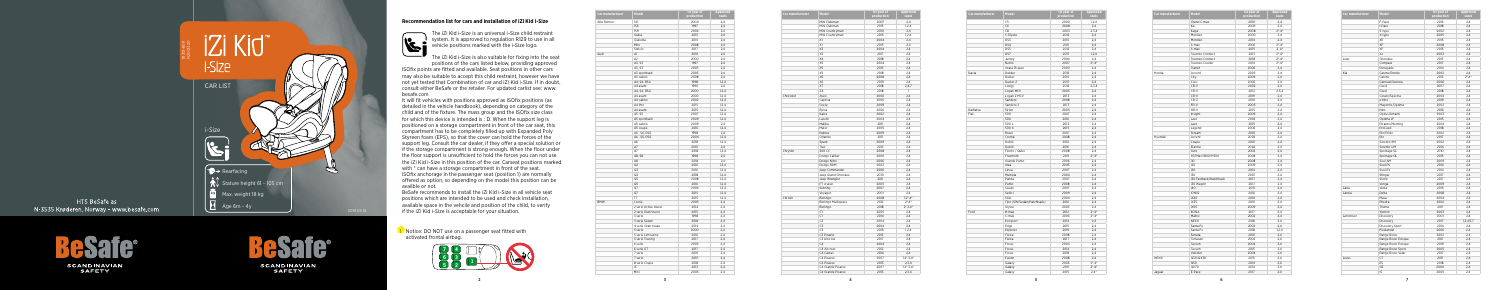5

## **Recommendation list for cars and installation of iZi Kid i-Size**



 The iZi Kid i-Size is an universal i-Size child restraint system. It is approved to regulation R129 to use in all vehicle positions marked with the i-Size logo.

The iZi Kid i-Size is also suitable for fixing into the seat positions of the cars listed below, providing approved ISOfix points are fitted and available. Seat positions in other cars may also be suitable to accept this child restraint, however we have not yet tested that Combination of car and iZi Kid i-Size. If in doubt, consult either BeSafe or the retailer. For updated carlist see: www. besafe.com

It will fit vehicles with positions approved as ISOfix positions (as detailed in the vehicle handbook), depending on category of the child and of the fixture. The mass group and the ISOfix size class for which this device is intended is : D. When the support leg is positioned on a storage compartment in front of the car seat, this compartment has to be completely filled up with Expanded Poly Styreen foam (EPS), so that the cover can hold the forces of the support leg. Consult the car dealer, if they offer a special solution or if the storage compartment is strong enough. When the floor under the floor support is unsufficient to hold the forces you can not use the iZi Kid i-Size in this position of the car. Carseat positions marked with  $*$  can have a storage compartment in front of the seat. ISOfix anchorage in the passenger seat (position 1) are normally offered as option, so depending on the model this position can be availble or not.

BeSafe recommends to install the iZi Kid i-Size in all vehicle seat positions which are intended to be used and check installation, available space in the vehcile and position of the child, to verify if the iZi Kid i-Size is acceptable for your situation.

| Car manufacturer | Model               | 1st year of<br>production | Approved<br>seats |
|------------------|---------------------|---------------------------|-------------------|
|                  | Mini Clubman        | 2007                      | 2,4               |
|                  | Mini Clubman        | 2015                      | 1.2.4             |
|                  | Mini Countryman     | 2010                      | 2,4               |
|                  | Mini Countryman     | 2016                      | 1,2,4             |
|                  | X1                  | 2004                      | 2.4               |
|                  | X1                  | 2015                      | 2,4               |
|                  | X3                  | 2004                      | 2,4               |
|                  | X3                  | 2017                      | 2,4               |
|                  | X4                  | 2018                      | 2,4               |
|                  | X5                  | 2004                      | 2,4               |
|                  | X <sub>5</sub>      | 2013                      | 2.4               |
|                  | X5                  | 2018                      | 2,4               |
|                  | X6                  | 2008                      | 2,4               |
|                  | X <sub>6</sub>      |                           | 2,4               |
|                  |                     | 2019                      |                   |
|                  | X7                  | 2018                      | 2,4,7             |
|                  | Z <sub>4</sub>      | 2018                      | 1                 |
| Chrevolet        | Aveo                | 2006                      | 2.4               |
|                  | Captiva             | 2006                      | 2,4               |
|                  | Cruze               | 2009                      | 2,4               |
|                  | Epica               | 2006                      | 2.4               |
|                  | Kalos               | 2002                      | 2,4               |
|                  | Lacetti             | 2004                      | 2,4               |
|                  | Malibu              | 2011                      | 2,4               |
|                  | Matiz               | 2005                      | 2,4               |
|                  | Nubira              | 2009                      | 2,4               |
|                  | Orlando             | 2011                      | 2,4               |
|                  | Spark               | 2009                      | 2,4               |
|                  | Trax                | 2013                      | 2,4               |
| Chrysler         | 300 CC              | 2008                      | 2,4               |
|                  | Dodge Caliber       | 2006                      | 2.4               |
|                  | Dodge Nitro         | 2006                      | 2,4               |
|                  | Dodge RAM           | 2002                      | 2,4               |
|                  | Jeep Commander      | 2006                      | 2,4               |
|                  | Jeep Grand Cherokee | 2010                      | 2,4               |
|                  | Jeep Wrangler       | 2011                      | 2.4               |
|                  | PT cruiser          | 2000                      | 2,4               |
|                  | Sebring             | 2007                      | 2,4               |
|                  | Voyager             | 2001                      | 2,4               |
| Citroën          | Berlingo            | 2008                      | $1,2^*$ , $4^*$   |
|                  | Berlingo Multispace | 2012                      | $2^*$ , $4^*$     |
|                  | Berlingo            | 2018                      | $2^*$ , 3, 4 $*$  |
|                  | C1                  | 2005                      |                   |
|                  |                     |                           | 2,4               |
|                  | C1                  | 2014                      | 2,4               |
|                  | C <sub>2</sub>      | 2004                      | 2,4               |
|                  | C3                  | 2004                      | 2.4               |
|                  | C3                  | 2016                      | 1,2,4             |
|                  | C3 Picasso          | 2013                      | 2,4               |
|                  | C3 Aircross         | 2017                      | 2,4               |
|                  | C <sub>4</sub>      | 2004                      | 2,4               |
|                  | C4 Aircross         | 2012                      | 2,4               |
|                  | C4 Cactus           | 2014                      | 2,4               |
|                  | C4 Picasso          | 2007                      | $1,2^*,3,4^*$     |
|                  | C4 Picasso          | 2013                      | 2,3,4             |
|                  | C4 Grande Picasso   | 2007                      | $1,2^*,3,4^*$     |
|                  | C4 Grande Picasso   | 2013                      | 2,3,4             |

**!** Notice: DO NOT use on a passenger seat fitted with activated frontal airbag.

| Car manufacturer | Model                     | 1st year of<br>production | <b>Approved</b><br>seats |
|------------------|---------------------------|---------------------------|--------------------------|
|                  | C <sub>5</sub>            | 2000                      | 1,2,4                    |
|                  | C <sub>6</sub>            | 2008                      | 2,4                      |
|                  | C <sub>8</sub>            | 2003                      | 2,3,4                    |
|                  | C-Elysée                  | 2012                      | 2,4                      |
|                  | DS3                       | 2010                      | 2,4                      |
|                  | DS4                       | 2011                      | 2.4                      |
|                  | DS5                       | 2012                      | 2,4                      |
|                  | DS7                       | 2017                      | 1,2,4                    |
|                  | Jumpy                     | 2004                      | 2,4                      |
|                  | Nemo                      | 2007                      | $2^* A^*$                |
|                  | Xsara Picasso             | 2000                      | 2,4                      |
| Dacia            | Dokker                    | 2012                      | 2,4                      |
|                  | Duster                    | 2010                      | 2.4                      |
|                  | Duster 2                  | 2017                      | 2,4                      |
|                  | Lodgy                     | 2012                      | 2,3,4                    |
|                  | Logan MCV                 | 2005                      | 2,4                      |
|                  | Logan 2 MCV               | 2013                      | 2,4                      |
|                  | Sandero                   | 2008                      | 2,4                      |
|                  | Sandero 2                 | 2013                      | 2,4                      |
| Daihatsu         | Sirion                    | 2005                      |                          |
|                  |                           |                           | 2,4                      |
| Fiat             | 500                       | 2007                      | 2,4                      |
|                  | 500                       | 2016                      | 2,4                      |
|                  | 500 L                     | 2013                      | 2,4                      |
|                  | 500 X                     | 2015                      | 2,4                      |
|                  | Bravo                     | 2007                      | 2,4                      |
|                  | Croma                     | 2008                      | 2,4                      |
|                  | Doblò                     | 2010                      | 2,4                      |
|                  | Doblò                     | 2016                      | 2,4                      |
|                  | Fiorno / Qubo             | 2008                      | 2,4                      |
|                  | Freemont                  | 2011                      | $2^*$ , $4^*$            |
|                  | Grande Punto              | 2006                      | 2,4                      |
|                  | Idea                      | 2003                      | 2,4                      |
|                  | Linea                     | 2007                      | 2,4                      |
|                  | Multipla                  | 2004                      | 2,4                      |
|                  | Panda                     | 2007                      | 2,4                      |
|                  | Punto                     | 2008                      | 2.4                      |
|                  | Scudo                     | 2007                      | 2,4                      |
|                  | Sedici                    | 2009                      | 2,4                      |
|                  | Stilo                     | 2004                      | 2,4                      |
|                  | Tipo (SW/Sedan/Hatchback) | 2016                      | 2,4                      |
|                  | Ulvsse                    | 2003                      | 2.4                      |
| Ford             | B-max                     | 2012                      | $2^*$ , 4 <sup>*</sup>   |
|                  | C-max                     | 2003                      | $2^*$ , 4 <sup>*</sup>   |
|                  | Ecosport                  | 2014                      | 2,4                      |
|                  | Edge                      | 2015                      | 2,4                      |
|                  | Explorer                  | 2019                      | 2,4                      |
|                  | Fiesta                    | 2008                      | 2,4                      |
|                  | Fiesta                    | 2017                      | 2,4                      |
|                  | Focus                     | 2004                      | 2,4                      |
|                  | Focus                     | 2014                      | 2,4                      |
|                  | Focus                     | 2018                      | 2,4                      |
|                  | Fusion                    | 2008                      | 2,4                      |
|                  | Galaxy                    | 2006                      | $2^*$ , 4 <sup>*</sup>   |
|                  | Galaxy                    | 2011                      | $2^*$ ,4 $*$             |
|                  | Galaxy                    | 2015                      | $2,4*$                   |
|                  |                           |                           |                          |

| Car manufacturer | Model                 | 1st year of<br>production | <b>Approved</b><br>seats |
|------------------|-----------------------|---------------------------|--------------------------|
| Alfa Romeo       | 147                   | 2000                      | 2,4                      |
|                  | 156                   | 1997                      | 2,4                      |
|                  | 159                   | 2006                      | 2,4                      |
|                  | Giulia                | 2015                      | 2,4                      |
|                  | Giulietta             | 2010                      | 2.4                      |
|                  | Mito                  | 2008                      | 2,4                      |
|                  | Stelvio               | 2017                      | 2,4                      |
| Audi             | A1                    | 2010                      | 2,4                      |
|                  | A2                    |                           |                          |
|                  | A3, S3                | 2000<br>1997              | 2,4<br>2.4               |
|                  | A3, S3                | 2003                      | 2.4                      |
|                  |                       | 2003                      | 2,4                      |
|                  | A3 sportback          |                           |                          |
|                  | A3 cabrio             | 2008                      | 2,4                      |
|                  | A4, S4, RS4           | 1998                      | 1,2,4                    |
|                  | A4 avant              | 1996                      | 2,4                      |
|                  | A4, S4, RS4           | 2000                      | 1,2,4                    |
|                  | A4 avant              | 2000                      | 1,2,4                    |
|                  | A4 cabrio             | 2002                      | 1,2,4                    |
|                  | A4 imo                | 2015                      | 1,2,4                    |
|                  | A4 avant              | 2015                      | 1,2,4                    |
|                  | A5. S5                | 2007                      | 1,2,4                    |
|                  | A5 sportback          | 2009                      | 1,2,4                    |
|                  | A5 cabrio             | 2009                      | 2,4                      |
|                  | A5 coupe              | 2016                      | 1,2,4                    |
|                  | A6, S6, RS6           | 1998                      | 2,4                      |
|                  | A6, S6, RS6           | 2004                      | 1,2,4                    |
|                  | A6                    | 2018                      | 1,2,4                    |
|                  | A7                    | 2010                      | 2,4                      |
|                  | A7                    | 2018                      | 1,2,4                    |
|                  | A8, S8                | 1998                      | 2,4                      |
|                  | A8                    | 2018                      | 2,4                      |
|                  | Q2                    | 2016                      | 1,2,4                    |
|                  | Q3                    | 2010                      | 1,2,4                    |
|                  | Q3                    | 2018                      | 1,2,4                    |
|                  | Q5                    | 2008                      | 1,2,4                    |
|                  | Q5                    | 2016                      | 1,2,4                    |
|                  | Q7                    | 2006                      | 1,2,4                    |
|                  | Q7                    | 2015                      | 1,2,4                    |
|                  | TT                    | 2015                      | 1,2,4                    |
| <b>BMW</b>       | 1 serie               | 2005                      | 2,4                      |
|                  | 2 serie Active tourer | 2014                      | 2,4                      |
|                  | 2 serie Gran tourer   | 2015                      | 2,4                      |
|                  | 3 serie               | 1998                      | 2,4                      |
|                  | 3 serie Sedan         | 2018                      | 2,4                      |
|                  | 4 serie Gran coupe    | 2014                      | 2,4                      |
|                  | 5 serie               | 2000                      | 2,4                      |
|                  | 5 serie Limousine     | 2016                      | 2,4                      |
|                  | 5 serie Touring       | 2017                      | 2.4                      |
|                  | 6 serie               | 2003                      | 2,4                      |
|                  | 6 serie GT            | 2017                      | 2,4                      |
|                  | 7 serie               | 2001                      | 2,4                      |
|                  | 7 serie               | 2015                      | 2,4                      |
|                  | 8 serie Coupe         | 2018                      | 2,4                      |
|                  | i3                    | 2013                      | 2,4                      |
|                  | Mini                  | 2006                      | 2,4                      |



HTS BeSafe as N-3535 Krøderen, Norway - www.besafe.com

> **SCANDINAVIAN SAFETY**



**SCANDINAVIAN SAFETY** 



| Car manufacturer | Model                  | 1st year of<br>production | Appro<br>seat |
|------------------|------------------------|---------------------------|---------------|
|                  | Grand C-max            | 2010                      | 2,4           |
|                  | Ka                     | 2009                      | 2,4           |
|                  | Kuga                   | 2008                      | $2^*$ ,4      |
|                  | Mondeo                 | 2000                      | 2,4           |
|                  | Mondeo                 | 2014                      | 2,4           |
|                  | S-max                  | 2006                      | $2^*$ ,4      |
|                  | S-max                  | 2015                      | 2, 4          |
|                  | Tourneo Connect        | 2013                      | $2^*$ ,4      |
|                  | Tourneo Connect        | 2018                      | 2,4           |
|                  | Tourneo Courier        | 2014                      | 2,4           |
|                  | Transit                | 2006                      | 2,4           |
| Honda            | Accord                 | 2003                      | 2,4           |
|                  | City                   | 2009                      | 2,4           |
|                  | Civic                  | 2006                      | 2,4           |
|                  | CR-V                   | 2002                      | 2,4           |
|                  | CR-V                   | 2012                      | 2, 3, 4       |
|                  | CR-V                   | 2019                      | 2,4           |
|                  | CR-Z                   | 2010                      | 2,4           |
|                  | FR-V                   | 2005                      | 2,4           |
|                  | HR-V                   | 2015                      | 2.4           |
|                  | Insight                | 2009                      | 2,4           |
|                  | Jazz                   | 2002                      | 2,4           |
|                  | Jazz                   | 2015                      | 2,4           |
|                  | Legend                 | 2006                      | 2,4           |
|                  | Stream                 | 2001                      | 2,4           |
| Hyundai          | Accent                 | 2002                      | 2,4           |
|                  | Coupe                  | 2001                      | 2,4           |
|                  | Elantra                | 2002                      | 2,4           |
|                  | Getz                   | 2002                      | 2,4           |
|                  | H1/iMax/i800/H300      | 2008                      | 2,4           |
|                  | i10                    | 2008                      | 2,4           |
|                  | i20                    | 2009                      | 2,4           |
|                  | i20                    | 2014                      | 2,4           |
|                  | i30                    | 2007                      | 2,4           |
|                  | i30 Fastback/Hatchback | 2017                      | 2,4           |
|                  | i30 Wagon              | 2017                      | 2,4           |
|                  | i40                    | 2011                      | 2,4           |
|                  | <b>IONIQ</b>           | 2016                      | 2,4           |
|                  | iX20                   | 2010                      | 2,4           |
|                  | iX35                   | 2010                      | 2,4           |
|                  | iX55                   | 2009                      | 2,4           |
|                  | KONA                   | 2017                      | 2,4           |
|                  | Matrix                 | 2002                      | 2,4           |
|                  | <b>NEXO</b>            | 2018                      | 2,4           |
|                  | Santa Fe               | 2002                      | 2.4           |
|                  | Santa Fe               | 2018                      | 1, 2, 4       |
|                  | Sonata                 | 2001                      | 2,4           |
|                  | Terracan               | 2002                      | 2,4           |
|                  | Tucson                 | 2004                      | 2,4           |
|                  | Tucson                 | 2015                      | 2,4           |
|                  | Veloster               | 2004                      | 2,4           |
| Infiniti         | Q30/QX30               | 2015                      | 2,4           |
|                  | Q50                    | 2014                      | 2,4           |
|                  |                        |                           |               |
| Jaguar           | QX70<br>E-Pace         | 2014<br>2017              | 2,4<br>2,4    |

**Contract Contract Contract Contract** 

| Model                  | 1st year of<br>production | Approved<br>seats      |
|------------------------|---------------------------|------------------------|
| Grand C-max            | 2010                      | 2,4                    |
| Ka                     | 2009                      | 2,4                    |
| Kuga                   | 2008                      | $2^*$ , $4^*$          |
| Mondeo                 | 2000                      | 2,4                    |
| Mondeo                 | 2014                      | 2,4                    |
| S-max                  | 2006                      | $2^*$ , $4^*$          |
| S-max                  | 2015                      | $2, 4^*$               |
| Tourneo Connect        | 2013                      | $2^*$ , 4 <sup>*</sup> |
| Tourneo Connect        | 2018                      | $2^*$ , 4 $*$          |
| Tourneo Courier        | 2014                      | $2^*$ , 4 <sup>*</sup> |
| Transit                | 2006                      | 2,4                    |
| Accord                 | 2003                      | 2,4                    |
| City                   | 2009                      | 2,4                    |
| Civic                  | 2006                      | 2,4                    |
| CR-V                   | 2002                      | 2,4                    |
| CR-V                   | 2012                      | 2,3,4                  |
| CR-V                   | 2019                      | 2,4                    |
| CR-Z                   | 2010                      | 2,4                    |
| FR-V                   | 2005                      | 2,4                    |
| HR-V                   | 2015                      | 2.4                    |
| Insight                | 2009                      | 2,4                    |
| Jazz                   | 2002                      | 2,4                    |
| Jazz                   | 2015                      | 2,4                    |
| Legend                 | 2006                      | 2,4                    |
| Stream                 | 2001                      | 2,4                    |
| Accent                 | 2002                      | 2,4                    |
| Coupe                  | 2001                      |                        |
| Elantra                | 2002                      | 2,4<br>2,4             |
| Getz                   | 2002                      | 2,4                    |
| H1/iMax/i800/H300      | 2008                      | 2,4                    |
| i10                    | 2008                      | 2,4                    |
| i20                    | 2009                      | 2,4                    |
| i20                    | 2014                      | 2,4                    |
| i30                    | 2007                      | 2,4                    |
| i30 Fastback/Hatchback | 2017                      | 2,4                    |
| i30 Wagon              | 2017                      | 2,4                    |
| i40                    | 2011                      | 2,4                    |
| <b>IONIQ</b>           | 2016                      | 2,4                    |
| iX20                   | 2010                      | 2,4                    |
| iX35                   | 2010                      |                        |
| iX55                   | 2009                      | 2,4                    |
| KONA                   |                           | 2,4                    |
| Matrix                 | 2017                      | 2,4                    |
| <b>NEXO</b>            | 2002<br>2018              | 2,4                    |
|                        |                           | 2,4                    |
| Santa Fe               | 2002                      | 2,4                    |
| Santa Fe               | 2018                      | 1,2,4                  |
| Sonata                 | 2001                      | 2,4                    |
| Terracan               | 2002                      | 2,4                    |
| Tucson                 | 2004                      | 2,4                    |
| Tucson                 | 2015                      | 2,4                    |
| Veloster               | 2004                      | 2,4                    |
| Q30/QX30               | 2015                      | 2,4                    |
| Q50                    | 2014                      | 2,4                    |
| QX70                   | 2014                      | 2,4                    |
| E-Pace                 | 2017                      | 2,4                    |

| <b>Car manufacturer</b> | Model              | 1st year of | <b>Approved</b> |
|-------------------------|--------------------|-------------|-----------------|
|                         |                    | production  | seats           |
|                         | F-Pace             | 2016        | 2,4             |
|                         | I-Pace             | 2018        | 2.4             |
|                         | S-type             | 2002        | 2,4             |
|                         | X-type             | 2005        | 2,4             |
|                         | XE                 | 2015        | 2.4             |
|                         | XF                 | 2008        | 2,4             |
|                         | XF                 | 2015        | 2,4             |
|                         | ΧJ                 | 2003        | 2,4             |
| Jeep                    | Cherokee           | 2013        | 2,4             |
|                         | Compass            | 2017        | 2.4             |
|                         | Renegade           | 2014        | 2.4             |
| Kia                     | Carens/Rondo       | 2002        | 2,4             |
|                         | Carens             | 2013        | $2^*$ , $4^*$   |
|                         | Carnival/Sedona    | 2006        | 2,4             |
|                         | Cee'd              | 2007        | 2.4             |
|                         | Ceed               | 2018        | 2,4             |
|                         | Cerato/Spectra     | 2004        | 2,4             |
|                         | e-Niro             | 2019        | 2,4             |
|                         | Magentis/Optima    | 2002        | 2,4             |
|                         | Niro               | 2016        |                 |
|                         |                    |             | 2,4             |
|                         | Opirus/Amanti      | 2003        | 2,4             |
|                         | Optima JF          | 2015        | 2.4             |
|                         | Picanto/Morning    | 2004        | 2.4             |
|                         | ProCeed            | 2018        | 2,4             |
|                         | Rio/Pride          | 2002        | 2,4             |
|                         | Rio                | 2017        | 2,4             |
|                         | Sorento XM         | 2002        | 2,4             |
|                         | Sorento UM         | 2014        | 2,4             |
|                         | Sportage SL        | 2010        | 2.4             |
|                         | Sportage QL        | 2015        | 2,4             |
|                         | Soul AM            | 2009        | 2.4             |
|                         | Soul PS            | 2014        | 2,4             |
|                         | Soul EV            | 2014        | 2,4             |
|                         | Stinger            | 2017        | 2.4             |
|                         | Stonic             | 2017        | 2.4             |
|                         | Venga              | 2009        | 2,4             |
| Lada                    | Vesta              | 2016        | 2,4             |
| Lancia                  | Delta              | 2008        | 2,4             |
|                         | Musa               | 2004        | 2.4             |
|                         | Phedra             | 2002        | 2,4             |
|                         | Thema              | 2011        | 2.4             |
|                         | Ypsilon            | 2003        | 2,4             |
| Landrover               | Discovery          | 2001        | 2,4             |
|                         | Discovery          | 2017        | 1, 2, 4, 5, 7   |
|                         | Discovery Sport    | 2014        | 2,4             |
|                         | Freelander         | 2006        | 2.4             |
|                         | Range Rover        | 2002        | 2,4             |
|                         | Range Rover Evoque | 2011        | 2,4             |
|                         | Range Rover Evoque | 2019        | 2,4             |
|                         | Range Rover Sport  | 2005        | 2,4             |
|                         | Range Rover Velar  | 2017        | 2.4             |
| Lexus                   | <b>CT</b>          | 2011        | 2.4             |
|                         |                    |             |                 |
|                         | ES                 | 2018        | 2,4             |
|                         | GS                 | 2000        | 2,4             |
|                         | IS                 | 2005        | 2,4             |